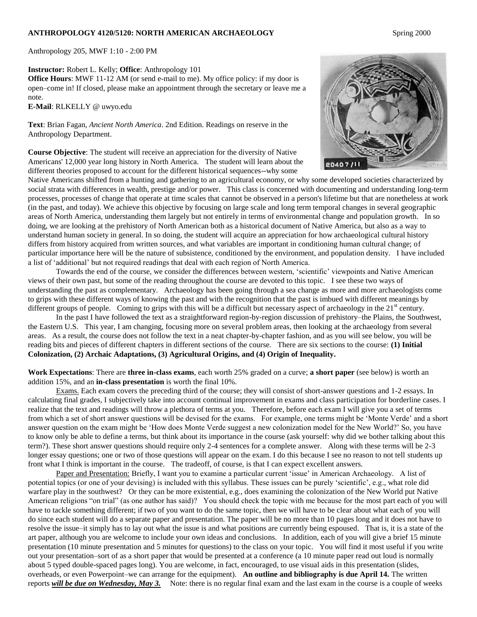#### **ANTHROPOLOGY 4120/5120: NORTH AMERICAN ARCHAEOLOGY** Spring 2000

Anthropology 205, MWF 1:10 - 2:00 PM

**Instructor:** Robert L. Kelly; **Office**: Anthropology 101

**Office Hours**: MWF 11-12 AM (or send e-mail to me). My office policy: if my door is open–come in! If closed, please make an appointment through the secretary or leave me a note.

**E-Mail**: RLKELLY @ uwyo.edu

**Text**: Brian Fagan, *Ancient North America*. 2nd Edition. Readings on reserve in the Anthropology Department.

**Course Objective**: The student will receive an appreciation for the diversity of Native Americans' 12,000 year long history in North America. The student will learn about the different theories proposed to account for the different historical sequences--why some



Native Americans shifted from a hunting and gathering to an agricultural economy, or why some developed societies characterized by social strata with differences in wealth, prestige and/or power. This class is concerned with documenting and understanding long-term processes, processes of change that operate at time scales that cannot be observed in a person's lifetime but that are nonetheless at work (in the past, and today). We achieve this objective by focusing on large scale and long term temporal changes in several geographic areas of North America, understanding them largely but not entirely in terms of environmental change and population growth. In so doing, we are looking at the prehistory of North American both as a historical document of Native America, but also as a way to understand human society in general. In so doing, the student will acquire an appreciation for how archaeological cultural history differs from history acquired from written sources, and what variables are important in conditioning human cultural change; of particular importance here will be the nature of subsistence, conditioned by the environment, and population density. I have included a list of "additional" but not required readings that deal with each region of North America.

Towards the end of the course, we consider the differences between western, "scientific" viewpoints and Native American views of their own past, but some of the reading throughout the course are devoted to this topic. I see these two ways of understanding the past as complementary. Archaeology has been going through a sea change as more and more archaeologists come to grips with these different ways of knowing the past and with the recognition that the past is imbued with different meanings by different groups of people. Coming to grips with this will be a difficult but necessary aspect of archaeology in the  $21<sup>st</sup>$  century.

In the past I have followed the text as a straightforward region-by-region discussion of prehistory–the Plains, the Southwest, the Eastern U.S. This year, I am changing, focusing more on several problem areas, then looking at the archaeology from several areas. As a result, the course does not follow the text in a neat chapter-by-chapter fashion, and as you will see below, you will be reading bits and pieces of different chapters in different sections of the course. There are six sections to the course: **(1) Initial Colonization, (2) Archaic Adaptations, (3) Agricultural Origins, and (4) Origin of Inequality.**

**Work Expectations**: There are **three in-class exams**, each worth 25% graded on a curve; **a short paper** (see below) is worth an addition 15%, and an **in-class presentation** is worth the final 10%.

Exams. Each exam covers the preceding third of the course; they will consist of short-answer questions and 1-2 essays. In calculating final grades, I subjectively take into account continual improvement in exams and class participation for borderline cases. I realize that the text and readings will throw a plethora of terms at you. Therefore, before each exam I will give you a set of terms from which a set of short answer questions will be devised for the exams. For example, one terms might be "Monte Verde" and a short answer question on the exam might be "How does Monte Verde suggest a new colonization model for the New World?" So, you have to know only be able to define a terms, but think about its importance in the course (ask yourself: why did we bother talking about this term?). These short answer questions should require only 2-4 sentences for a complete answer. Along with these terms will be 2-3 longer essay questions; one or two of those questions will appear on the exam. I do this because I see no reason to not tell students up front what I think is important in the course. The tradeoff, of course, is that I can expect excellent answers.

Paper and Presentation: Briefly, I want you to examine a particular current "issue" in American Archaeology. A list of potential topics (or one of your devising) is included with this syllabus. These issues can be purely "scientific", e.g., what role did warfare play in the southwest? Or they can be more existential, e.g., does examining the colonization of the New World put Native American religions "on trial" (as one author has said)? You should check the topic with me because for the most part each of you will have to tackle something different; if two of you want to do the same topic, then we will have to be clear about what each of you will do since each student will do a separate paper and presentation. The paper will be no more than 10 pages long and it does not have to resolve the issue–it simply has to lay out what the issue is and what positions are currently being espoused. That is, it is a state of the art paper, although you are welcome to include your own ideas and conclusions. In addition, each of you will give a brief 15 minute presentation (10 minute presentation and 5 minutes for questions) to the class on your topic. You will find it most useful if you write out your presentation–sort of as a short paper that would be presented at a conference (a 10 minute paper read out loud is normally about 5 typed double-spaced pages long). You are welcome, in fact, encouraged, to use visual aids in this presentation (slides, overheads, or even Powerpoint–we can arrange for the equipment). **An outline and bibliography is due April 14.** The written reports *will be due on Wednesday, May 3.* Note: there is no regular final exam and the last exam in the course is a couple of weeks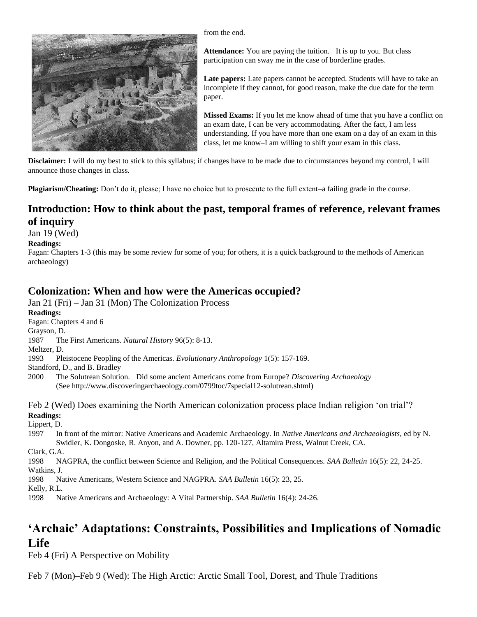

from the end.

**Attendance:** You are paying the tuition. It is up to you. But class participation can sway me in the case of borderline grades.

**Late papers:** Late papers cannot be accepted. Students will have to take an incomplete if they cannot, for good reason, make the due date for the term paper.

**Missed Exams:** If you let me know ahead of time that you have a conflict on an exam date, I can be very accommodating. After the fact, I am less understanding. If you have more than one exam on a day of an exam in this class, let me know–I am willing to shift your exam in this class.

**Disclaimer:** I will do my best to stick to this syllabus; if changes have to be made due to circumstances beyond my control, I will announce those changes in class.

**Plagiarism/Cheating:** Don't do it, please; I have no choice but to prosecute to the full extent–a failing grade in the course.

## **Introduction: How to think about the past, temporal frames of reference, relevant frames of inquiry**

Jan 19 (Wed)

### **Readings:**

Fagan: Chapters 1-3 (this may be some review for some of you; for others, it is a quick background to the methods of American archaeology)

### **Colonization: When and how were the Americas occupied?**

Jan 21 (Fri) – Jan 31 (Mon) The Colonization Process

**Readings:**

Fagan: Chapters 4 and 6

Grayson, D.

1987 The First Americans. *Natural History* 96(5): 8-13.

Meltzer, D.

1993 Pleistocene Peopling of the Americas. *Evolutionary Anthropology* 1(5): 157-169.

Standford, D., and B. Bradley

2000 The Solutrean Solution. Did some ancient Americans come from Europe? *Discovering Archaeology* (See http://www.discoveringarchaeology.com/0799toc/7special12-solutrean.shtml)

Feb 2 (Wed) Does examining the North American colonization process place Indian religion "on trial"? **Readings:**

Lippert, D.

1997 In front of the mirror: Native Americans and Academic Archaeology. In *Native Americans and Archaeologists*, ed by N. Swidler, K. Dongoske, R. Anyon, and A. Downer, pp. 120-127, Altamira Press, Walnut Creek, CA.

Clark, G.A.

1998 NAGPRA, the conflict between Science and Religion, and the Political Consequences. *SAA Bulletin* 16(5): 22, 24-25. Watkins, J.

1998 Native Americans, Western Science and NAGPRA. *SAA Bulletin* 16(5): 23, 25.

Kelly, R.L.

1998 Native Americans and Archaeology: A Vital Partnership. *SAA Bulletin* 16(4): 24-26.

## **'Archaic' Adaptations: Constraints, Possibilities and Implications of Nomadic Life**

Feb 4 (Fri) A Perspective on Mobility

Feb 7 (Mon)–Feb 9 (Wed): The High Arctic: Arctic Small Tool, Dorest, and Thule Traditions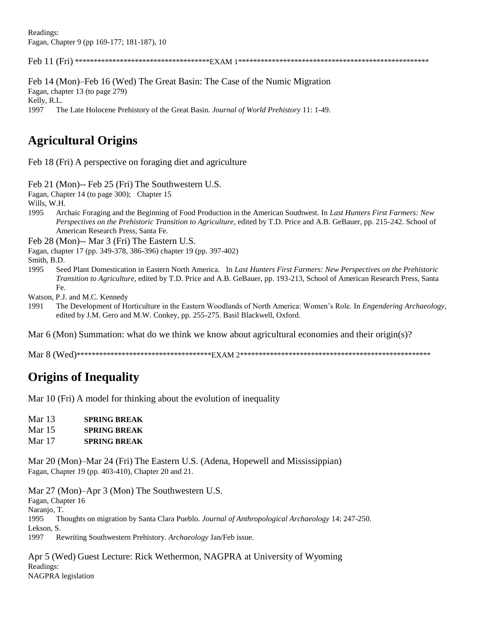Readings: Fagan, Chapter 9 (pp 169-177; 181-187), 10

Feb 11 (Fri) \*\*\*\*\*\*\*\*\*\*\*\*\*\*\*\*\*\*\*\*\*\*\*\*\*\*\*\*\*\*\*\*\*\*\*\*EXAM 1\*\*\*\*\*\*\*\*\*\*\*\*\*\*\*\*\*\*\*\*\*\*\*\*\*\*\*\*\*\*\*\*\*\*\*\*\*\*\*\*\*\*\*\*\*\*\*\*\*\*\*

Feb 14 (Mon)–Feb 16 (Wed) The Great Basin: The Case of the Numic Migration Fagan, chapter 13 (to page 279) Kelly, R.L. 1997 The Late Holocene Prehistory of the Great Basin. *Journal of World Prehistory* 11: 1-49.

# **Agricultural Origins**

Feb 18 (Fri) A perspective on foraging diet and agriculture

Feb 21 (Mon)-- Feb 25 (Fri) The Southwestern U.S.

Fagan, Chapter 14 (to page 300); Chapter 15

Wills, W.H.

1995 Archaic Foraging and the Beginning of Food Production in the American Southwest. In *Last Hunters First Farmers: New Perspectives on the Prehistoric Transition to Agriculture*, edited by T.D. Price and A.B. GeBauer, pp. 215-242. School of American Research Press, Santa Fe.

Feb 28 (Mon)-- Mar 3 (Fri) The Eastern U.S.

Fagan, chapter 17 (pp. 349-378, 386-396) chapter 19 (pp. 397-402)

Smith, B.D.

1995 Seed Plant Domestication in Eastern North America. In *Last Hunters First Farmers: New Perspectives on the Prehistoric Transition to Agriculture*, edited by T.D. Price and A.B. GeBauer, pp. 193-213, School of American Research Press, Santa Fe.

Watson, P.J. and M.C. Kennedy

1991 The Development of Horticulture in the Eastern Woodlands of North America: Women"s Role. In *Engendering Archaeology*, edited by J.M. Gero and M.W. Conkey, pp. 255-275. Basil Blackwell, Oxford.

Mar 6 (Mon) Summation: what do we think we know about agricultural economies and their origin(s)?

Mar 8 (Wed)\*\*\*\*\*\*\*\*\*\*\*\*\*\*\*\*\*\*\*\*\*\*\*\*\*\*\*\*\*\*\*\*\*\*\*\*EXAM 2\*\*\*\*\*\*\*\*\*\*\*\*\*\*\*\*\*\*\*\*\*\*\*\*\*\*\*\*\*\*\*\*\*\*\*\*\*\*\*\*\*\*\*\*\*\*\*\*\*\*\*

# **Origins of Inequality**

Mar 10 (Fri) A model for thinking about the evolution of inequality

- Mar 13 **SPRING BREAK**
- Mar 15 **SPRING BREAK**
- Mar 17 **SPRING BREAK**

Mar 20 (Mon)–Mar 24 (Fri) The Eastern U.S. (Adena, Hopewell and Mississippian) Fagan, Chapter 19 (pp. 403-410), Chapter 20 and 21.

Mar 27 (Mon)–Apr 3 (Mon) The Southwestern U.S. Fagan, Chapter 16 Naranjo, T. 1995 Thoughts on migration by Santa Clara Pueblo. *Journal of Anthropological Archaeology* 14: 247-250. Lekson, S. 1997 Rewriting Southwestern Prehistory. *Archaeology* Jan/Feb issue.

Apr 5 (Wed) Guest Lecture: Rick Wethermon, NAGPRA at University of Wyoming Readings: NAGPRA legislation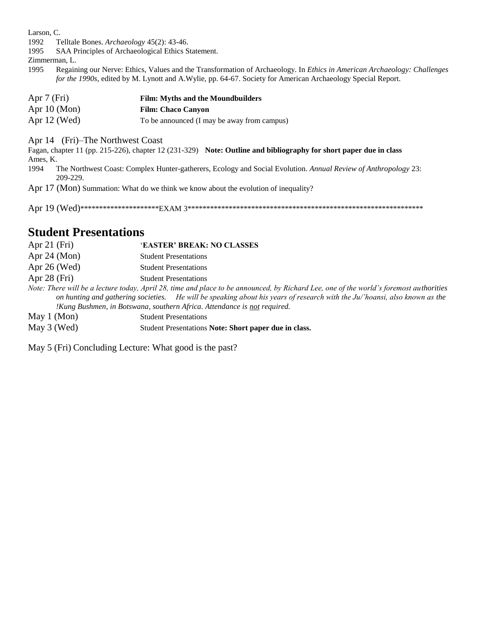Larson, C.

- 1992 Telltale Bones. Archaeology 45(2): 43-46.
- SAA Principles of Archaeological Ethics Statement. 1995

Zimmerman, L.

Regaining our Nerve: Ethics, Values and the Transformation of Archaeology. In Ethics in American Archaeology: Challenges 1995 for the 1990s, edited by M. Lynott and A. Wylie, pp. 64-67. Society for American Archaeology Special Report.

| Apr $7$ (Fri)     | <b>Film:</b> Myths and the Moundbuilders    |
|-------------------|---------------------------------------------|
| Apr $10 \, (Mon)$ | <b>Film: Chaco Canyon</b>                   |
| Apr $12$ (Wed)    | To be announced (I may be away from campus) |

Apr 14 (Fri)–The Northwest Coast

Fagan, chapter 11 (pp. 215-226), chapter 12 (231-329) Note: Outline and bibliography for short paper due in class Ames, K.

- The Northwest Coast: Complex Hunter-gatherers, Ecology and Social Evolution. Annual Review of Anthropology 23: 1994 209-229.
- Apr 17 (Mon) Summation: What do we think we know about the evolution of inequality?

## **Student Presentations**

| Apr $21$ (Fri)    | 'EASTER' BREAK: NO CLASSES                                                                                                                                                                                                                                                                                                                       |
|-------------------|--------------------------------------------------------------------------------------------------------------------------------------------------------------------------------------------------------------------------------------------------------------------------------------------------------------------------------------------------|
| Apr $24 \, (Mon)$ | <b>Student Presentations</b>                                                                                                                                                                                                                                                                                                                     |
| Apr 26 (Wed)      | <b>Student Presentations</b>                                                                                                                                                                                                                                                                                                                     |
| Apr $28$ (Fri)    | <b>Student Presentations</b>                                                                                                                                                                                                                                                                                                                     |
|                   | Note: There will be a lecture today, April 28, time and place to be announced, by Richard Lee, one of the world's foremost authorities<br>on hunting and gathering societies. He will be speaking about his years of research with the Ju/'hoansi, also known as the<br>!Kung Bushmen, in Botswana, southern Africa. Attendance is not required. |
| May 1 (Mon)       | <b>Student Presentations</b>                                                                                                                                                                                                                                                                                                                     |
| May 3 (Wed)       | Student Presentations Note: Short paper due in class.                                                                                                                                                                                                                                                                                            |

May 5 (Fri) Concluding Lecture: What good is the past?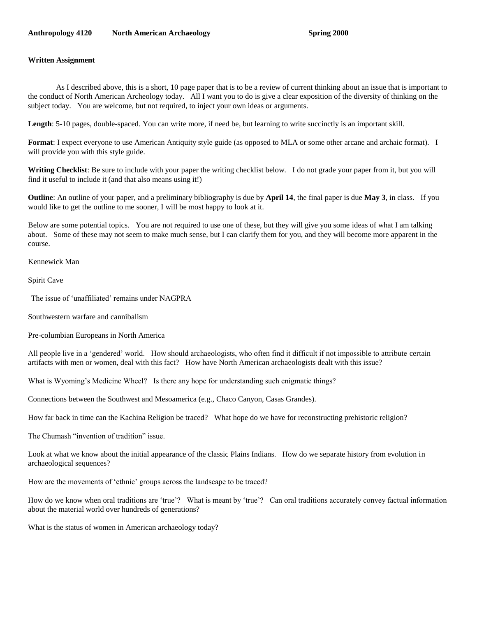#### **Anthropology 4120 North American Archaeology Spring 2000**

#### **Written Assignment**

As I described above, this is a short, 10 page paper that is to be a review of current thinking about an issue that is important to the conduct of North American Archeology today. All I want you to do is give a clear exposition of the diversity of thinking on the subject today. You are welcome, but not required, to inject your own ideas or arguments.

Length: 5-10 pages, double-spaced. You can write more, if need be, but learning to write succinctly is an important skill.

**Format**: I expect everyone to use American Antiquity style guide (as opposed to MLA or some other arcane and archaic format). I will provide you with this style guide.

**Writing Checklist**: Be sure to include with your paper the writing checklist below. I do not grade your paper from it, but you will find it useful to include it (and that also means using it!)

**Outline**: An outline of your paper, and a preliminary bibliography is due by **April 14**, the final paper is due **May 3**, in class. If you would like to get the outline to me sooner, I will be most happy to look at it.

Below are some potential topics. You are not required to use one of these, but they will give you some ideas of what I am talking about. Some of these may not seem to make much sense, but I can clarify them for you, and they will become more apparent in the course.

Kennewick Man

Spirit Cave

The issue of 'unaffiliated' remains under NAGPRA

Southwestern warfare and cannibalism

Pre-columbian Europeans in North America

All people live in a "gendered" world. How should archaeologists, who often find it difficult if not impossible to attribute certain artifacts with men or women, deal with this fact? How have North American archaeologists dealt with this issue?

What is Wyoming's Medicine Wheel? Is there any hope for understanding such enigmatic things?

Connections between the Southwest and Mesoamerica (e.g., Chaco Canyon, Casas Grandes).

How far back in time can the Kachina Religion be traced? What hope do we have for reconstructing prehistoric religion?

The Chumash "invention of tradition" issue.

Look at what we know about the initial appearance of the classic Plains Indians. How do we separate history from evolution in archaeological sequences?

How are the movements of "ethnic" groups across the landscape to be traced?

How do we know when oral traditions are "true"? What is meant by "true"? Can oral traditions accurately convey factual information about the material world over hundreds of generations?

What is the status of women in American archaeology today?